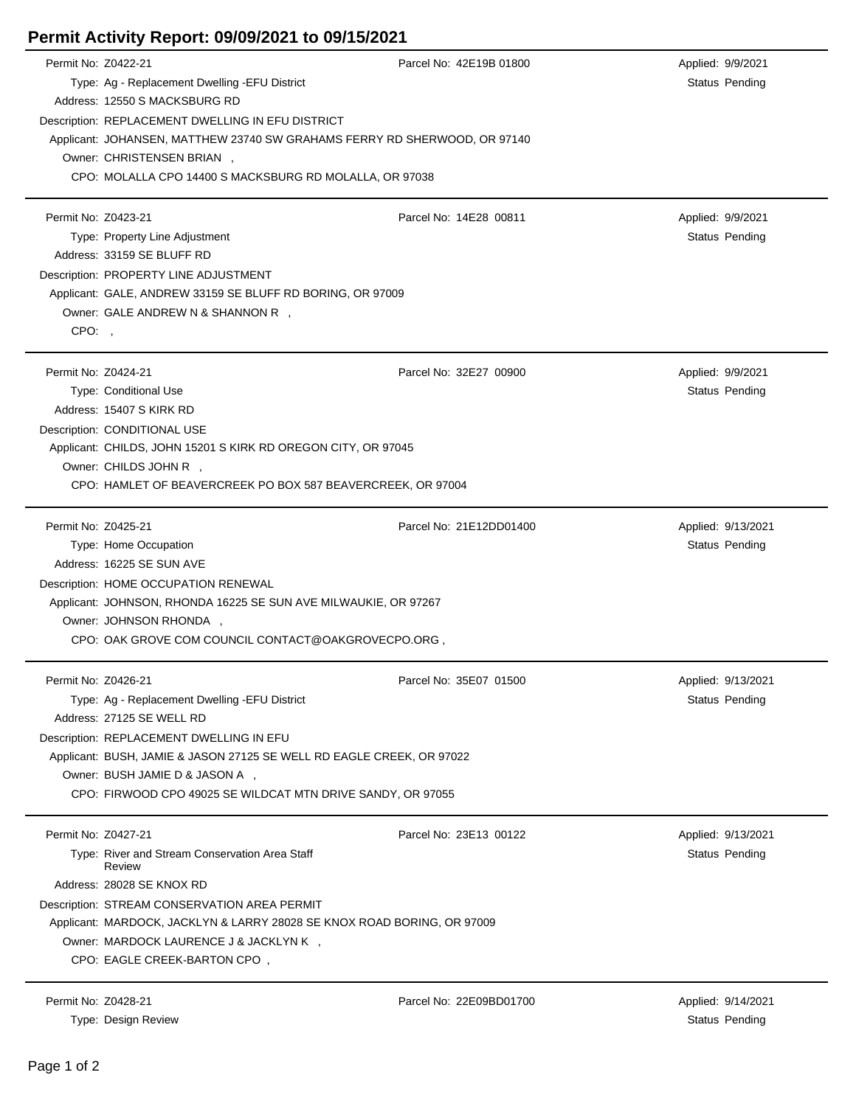## **Permit Activity Report: 09/09/2021 to 09/15/2021**

| Permit No: Z0422-21 |                                                                                        | Parcel No: 42E19B 01800 | Applied: 9/9/2021     |  |  |
|---------------------|----------------------------------------------------------------------------------------|-------------------------|-----------------------|--|--|
|                     | Type: Ag - Replacement Dwelling -EFU District                                          |                         | <b>Status Pending</b> |  |  |
|                     | Address: 12550 S MACKSBURG RD                                                          |                         |                       |  |  |
|                     | Description: REPLACEMENT DWELLING IN EFU DISTRICT                                      |                         |                       |  |  |
|                     | Applicant: JOHANSEN, MATTHEW 23740 SW GRAHAMS FERRY RD SHERWOOD, OR 97140              |                         |                       |  |  |
|                     | Owner: CHRISTENSEN BRIAN,                                                              |                         |                       |  |  |
|                     | CPO: MOLALLA CPO 14400 S MACKSBURG RD MOLALLA, OR 97038                                |                         |                       |  |  |
| Permit No: Z0423-21 |                                                                                        | Parcel No: 14E28 00811  | Applied: 9/9/2021     |  |  |
|                     | Type: Property Line Adjustment                                                         |                         | <b>Status Pending</b> |  |  |
|                     | Address: 33159 SE BLUFF RD                                                             |                         |                       |  |  |
|                     | Description: PROPERTY LINE ADJUSTMENT                                                  |                         |                       |  |  |
|                     | Applicant: GALE, ANDREW 33159 SE BLUFF RD BORING, OR 97009                             |                         |                       |  |  |
|                     | Owner: GALE ANDREW N & SHANNON R,                                                      |                         |                       |  |  |
| CPO:,               |                                                                                        |                         |                       |  |  |
|                     |                                                                                        |                         |                       |  |  |
| Permit No: Z0424-21 |                                                                                        | Parcel No: 32E27 00900  | Applied: 9/9/2021     |  |  |
|                     | Type: Conditional Use                                                                  |                         | <b>Status Pending</b> |  |  |
|                     | Address: 15407 S KIRK RD                                                               |                         |                       |  |  |
|                     | Description: CONDITIONAL USE                                                           |                         |                       |  |  |
|                     | Applicant: CHILDS, JOHN 15201 S KIRK RD OREGON CITY, OR 97045<br>Owner: CHILDS JOHN R, |                         |                       |  |  |
|                     |                                                                                        |                         |                       |  |  |
|                     | CPO: HAMLET OF BEAVERCREEK PO BOX 587 BEAVERCREEK, OR 97004                            |                         |                       |  |  |
| Permit No: Z0425-21 |                                                                                        | Parcel No: 21E12DD01400 | Applied: 9/13/2021    |  |  |
|                     | Type: Home Occupation                                                                  |                         | <b>Status Pending</b> |  |  |
|                     | Address: 16225 SE SUN AVE                                                              |                         |                       |  |  |
|                     | Description: HOME OCCUPATION RENEWAL                                                   |                         |                       |  |  |
|                     | Applicant: JOHNSON, RHONDA 16225 SE SUN AVE MILWAUKIE, OR 97267                        |                         |                       |  |  |
|                     | Owner: JOHNSON RHONDA,                                                                 |                         |                       |  |  |
|                     | CPO: OAK GROVE COM COUNCIL CONTACT@OAKGROVECPO.ORG,                                    |                         |                       |  |  |
| Permit No: Z0426-21 |                                                                                        | Parcel No: 35E07 01500  | Applied: 9/13/2021    |  |  |
|                     | Type: Ag - Replacement Dwelling - EFU District                                         |                         | Status Pending        |  |  |
|                     | Address: 27125 SE WELL RD                                                              |                         |                       |  |  |
|                     | Description: REPLACEMENT DWELLING IN EFU                                               |                         |                       |  |  |
|                     | Applicant: BUSH, JAMIE & JASON 27125 SE WELL RD EAGLE CREEK, OR 97022                  |                         |                       |  |  |
|                     | Owner: BUSH JAMIE D & JASON A ,                                                        |                         |                       |  |  |
|                     | CPO: FIRWOOD CPO 49025 SE WILDCAT MTN DRIVE SANDY, OR 97055                            |                         |                       |  |  |
| Permit No: Z0427-21 |                                                                                        | Parcel No: 23E13 00122  | Applied: 9/13/2021    |  |  |
|                     | Type: River and Stream Conservation Area Staff                                         |                         | Status Pending        |  |  |
|                     | Review                                                                                 |                         |                       |  |  |
|                     | Address: 28028 SE KNOX RD                                                              |                         |                       |  |  |
|                     | Description: STREAM CONSERVATION AREA PERMIT                                           |                         |                       |  |  |
|                     | Applicant: MARDOCK, JACKLYN & LARRY 28028 SE KNOX ROAD BORING, OR 97009                |                         |                       |  |  |
|                     | Owner: MARDOCK LAURENCE J & JACKLYN K,                                                 |                         |                       |  |  |
|                     | CPO: EAGLE CREEK-BARTON CPO,                                                           |                         |                       |  |  |
| Permit No: Z0428-21 |                                                                                        | Parcel No: 22E09BD01700 | Applied: 9/14/2021    |  |  |
|                     | Type: Design Review                                                                    |                         | <b>Status Pending</b> |  |  |

 $\overline{a}$ 

 $\overline{a}$ 

 $\blacksquare$